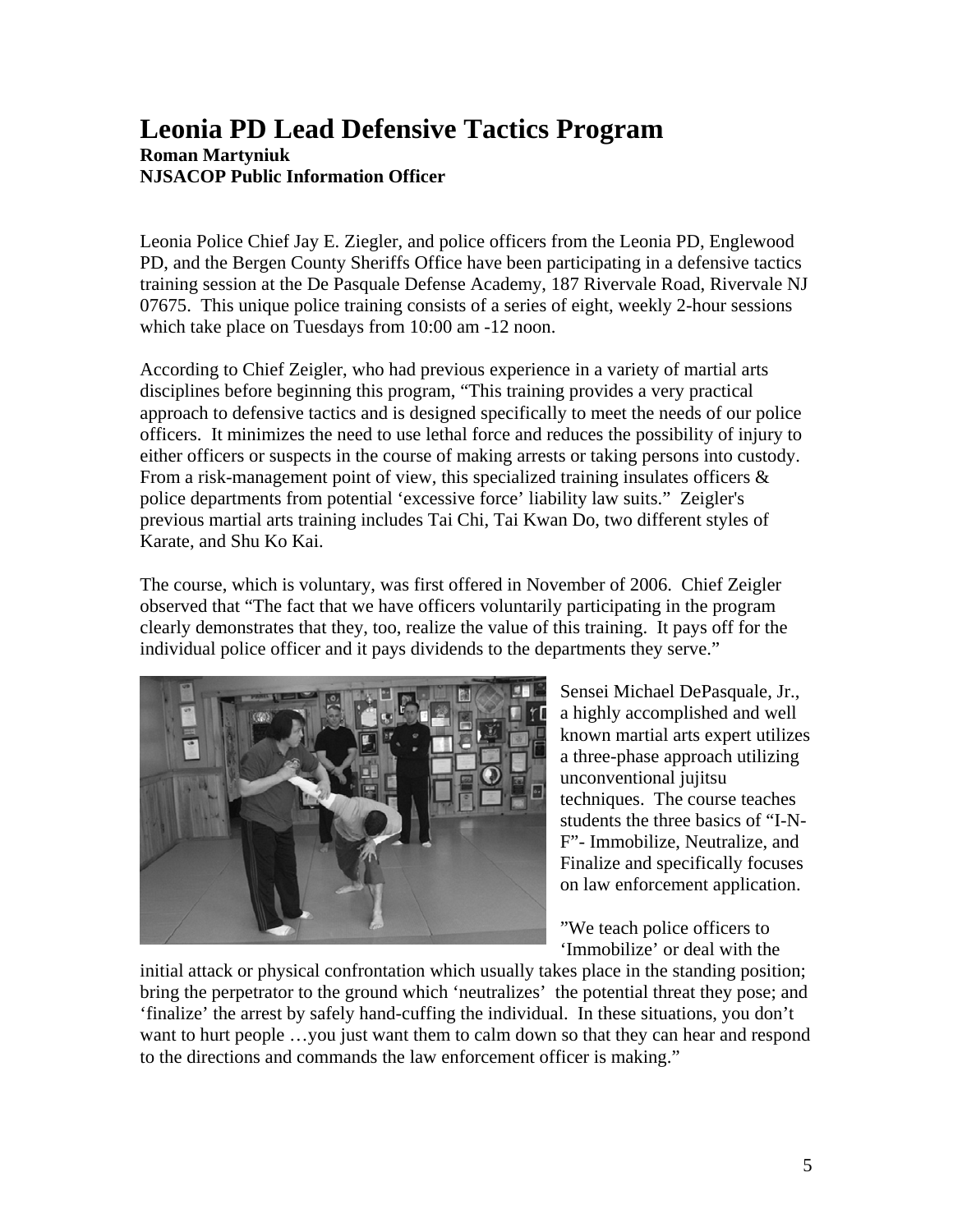## **Leonia PD Lead Defensive Tactics Program Roman Martyniuk NJSACOP Public Information Officer**

Leonia Police Chief Jay E. Ziegler, and police officers from the Leonia PD, Englewood PD, and the Bergen County Sheriffs Office have been participating in a defensive tactics training session at the De Pasquale Defense Academy, 187 Rivervale Road, Rivervale NJ 07675. This unique police training consists of a series of eight, weekly 2-hour sessions which take place on Tuesdays from 10:00 am -12 noon.

According to Chief Zeigler, who had previous experience in a variety of martial arts disciplines before beginning this program, "This training provides a very practical approach to defensive tactics and is designed specifically to meet the needs of our police officers. It minimizes the need to use lethal force and reduces the possibility of injury to either officers or suspects in the course of making arrests or taking persons into custody. From a risk-management point of view, this specialized training insulates officers  $\&$ police departments from potential 'excessive force' liability law suits." Zeigler's previous martial arts training includes Tai Chi, Tai Kwan Do, two different styles of Karate, and Shu Ko Kai.

The course, which is voluntary, was first offered in November of 2006. Chief Zeigler observed that "The fact that we have officers voluntarily participating in the program clearly demonstrates that they, too, realize the value of this training. It pays off for the individual police officer and it pays dividends to the departments they serve."



Sensei Michael DePasquale, Jr., a highly accomplished and well known martial arts expert utilizes a three-phase approach utilizing unconventional jujitsu techniques. The course teaches students the three basics of "I-N-F"- Immobilize, Neutralize, and Finalize and specifically focuses on law enforcement application.

"We teach police officers to 'Immobilize' or deal with the

initial attack or physical confrontation which usually takes place in the standing position; bring the perpetrator to the ground which 'neutralizes' the potential threat they pose; and 'finalize' the arrest by safely hand-cuffing the individual. In these situations, you don't want to hurt people ...you just want them to calm down so that they can hear and respond to the directions and commands the law enforcement officer is making."